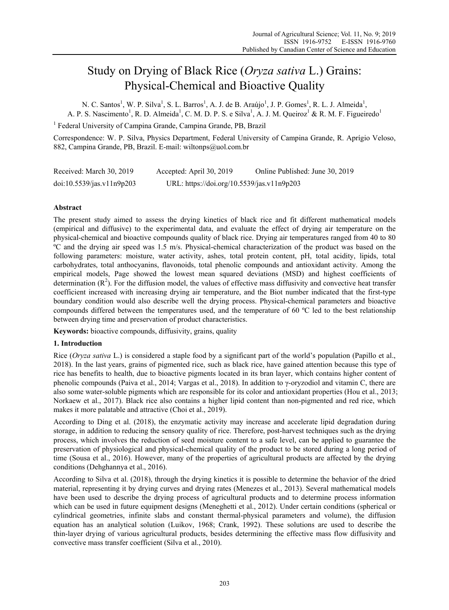# Study on Drying of Black Rice (*Oryza sativa* L.) Grains: Physical-Chemical and Bioactive Quality

N. C. Santos<sup>1</sup>, W. P. Silva<sup>1</sup>, S. L. Barros<sup>1</sup>, A. J. de B. Araújo<sup>1</sup>, J. P. Gomes<sup>1</sup>, R. L. J. Almeida<sup>1</sup>, A. P. S. Nascimento<sup>1</sup>, R. D. Almeida<sup>1</sup>, C. M. D. P. S. e Silva<sup>1</sup>, A. J. M. Queiroz<sup>1</sup> & R. M. F. Figueiredo<sup>1</sup>

<sup>1</sup> Federal University of Campina Grande, Campina Grande, PB, Brazil

Correspondence: W. P. Silva, Physics Department, Federal University of Campina Grande, R. Aprígio Veloso, 882, Campina Grande, PB, Brazil. E-mail: wiltonps@uol.com.br

| Received: March 30, 2019  | Accepted: April 30, 2019                   | Online Published: June 30, 2019 |
|---------------------------|--------------------------------------------|---------------------------------|
| doi:10.5539/jas.v11n9p203 | URL: https://doi.org/10.5539/jas.v11n9p203 |                                 |

# **Abstract**

The present study aimed to assess the drying kinetics of black rice and fit different mathematical models (empirical and diffusive) to the experimental data, and evaluate the effect of drying air temperature on the physical-chemical and bioactive compounds quality of black rice. Drying air temperatures ranged from 40 to 80 ºC and the drying air speed was 1.5 m/s. Physical-chemical characterization of the product was based on the following parameters: moisture, water activity, ashes, total protein content, pH, total acidity, lipids, total carbohydrates, total anthocyanins, flavonoids, total phenolic compounds and antioxidant activity. Among the empirical models, Page showed the lowest mean squared deviations (MSD) and highest coefficients of determination  $(R^2)$ . For the diffusion model, the values of effective mass diffusivity and convective heat transfer coefficient increased with increasing drying air temperature, and the Biot number indicated that the first-type boundary condition would also describe well the drying process. Physical-chemical parameters and bioactive compounds differed between the temperatures used, and the temperature of 60 ºC led to the best relationship between drying time and preservation of product characteristics.

**Keywords:** bioactive compounds, diffusivity, grains, quality

## **1. Introduction**

Rice (*Oryza sativa* L.) is considered a staple food by a significant part of the world's population (Papillo et al., 2018). In the last years, grains of pigmented rice, such as black rice, have gained attention because this type of rice has benefits to health, due to bioactive pigments located in its bran layer, which contains higher content of phenolic compounds (Paiva et al., 2014; Vargas et al., 2018). In addition to γ-oryzodiol and vitamin C, there are also some water-soluble pigments which are responsible for its color and antioxidant properties (Hou et al., 2013; Norkaew et al., 2017). Black rice also contains a higher lipid content than non-pigmented and red rice, which makes it more palatable and attractive (Choi et al., 2019).

According to Ding et al. (2018), the enzymatic activity may increase and accelerate lipid degradation during storage, in addition to reducing the sensory quality of rice. Therefore, post-harvest techniques such as the drying process, which involves the reduction of seed moisture content to a safe level, can be applied to guarantee the preservation of physiological and physical-chemical quality of the product to be stored during a long period of time (Sousa et al., 2016). However, many of the properties of agricultural products are affected by the drying conditions (Dehghannya et al., 2016).

According to Silva et al. (2018), through the drying kinetics it is possible to determine the behavior of the dried material, representing it by drying curves and drying rates (Menezes et al., 2013). Several mathematical models have been used to describe the drying process of agricultural products and to determine process information which can be used in future equipment designs (Meneghetti et al., 2012). Under certain conditions (spherical or cylindrical geometries, infinite slabs and constant thermal-physical parameters and volume), the diffusion equation has an analytical solution (Luikov, 1968; Crank, 1992). These solutions are used to describe the thin-layer drying of various agricultural products, besides determining the effective mass flow diffusivity and convective mass transfer coefficient (Silva et al., 2010).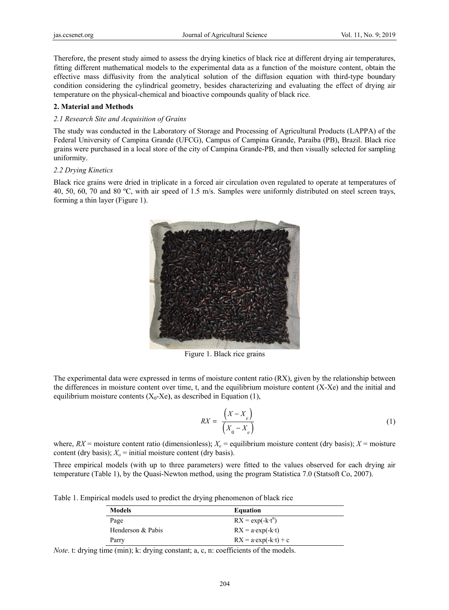Therefore, the present study aimed to assess the drying kinetics of black rice at different drying air temperatures, fitting different mathematical models to the experimental data as a function of the moisture content, obtain the effective mass diffusivity from the analytical solution of the diffusion equation with third-type boundary condition considering the cylindrical geometry, besides characterizing and evaluating the effect of drying air temperature on the physical-chemical and bioactive compounds quality of black rice.

## 2. Material and Methods

## 2.1 Research Site and Acquisition of Grains

The study was conducted in the Laboratory of Storage and Processing of Agricultural Products (LAPPA) of the Federal University of Campina Grande (UFCG), Campus of Campina Grande, Paraíba (PB), Brazil. Black rice grains were purchased in a local store of the city of Campina Grande-PB, and then visually selected for sampling uniformity.

# 2.2 Drying Kinetics

Black rice grains were dried in triplicate in a forced air circulation oven regulated to operate at temperatures of 40, 50, 60, 70 and 80 °C, with air speed of 1.5 m/s. Samples were uniformly distributed on steel screen trays, forming a thin layer (Figure 1).



Figure 1. Black rice grains

The experimental data were expressed in terms of moisture content ratio (RX), given by the relationship between the differences in moisture content over time, t, and the equilibrium moisture content (X-Xe) and the initial and equilibrium moisture contents  $(X_0,X_e)$ , as described in Equation (1),

$$
RX = \frac{\left(X - X_e\right)}{\left(X_0 - X_e\right)}\tag{1}
$$

where,  $RX$  = moisture content ratio (dimensionless);  $X_e$  = equilibrium moisture content (dry basis);  $X$  = moisture content (dry basis);  $X_0$  = initial moisture content (dry basis).

Three empirical models (with up to three parameters) were fitted to the values observed for each drying air temperature (Table 1), by the Quasi-Newton method, using the program Statistica 7.0 (Statsoft Co, 2007).

Table 1. Empirical models used to predict the drying phenomenon of black rice

| <b>Models</b>     | <b>Equation</b>                    |
|-------------------|------------------------------------|
| Page              | $RX = exp(-k \cdot t^n)$           |
| Henderson & Pabis | $RX = a \cdot exp(-k \cdot t)$     |
| Parry             | $RX = a \cdot exp(-k \cdot t) + c$ |

*Note.* t: drying time (min); k: drying constant; a, c, n: coefficients of the models.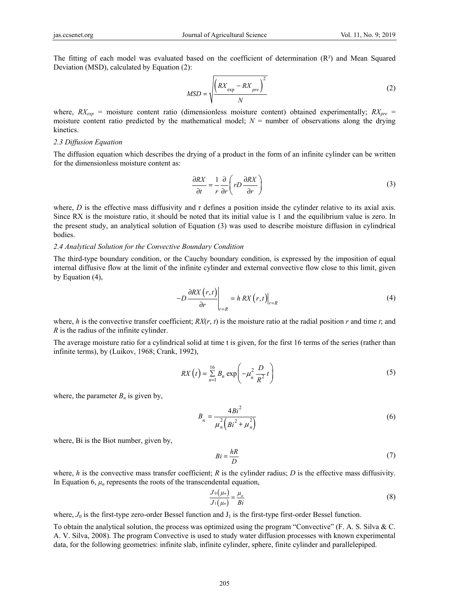The fitting of each model was evaluated based on the coefficient of determination  $(R<sup>2</sup>)$  and Mean Squared Deviation (MSD), calculated by Equation (2):

$$
MSD = \sqrt{\frac{\left(RX_{\text{exp}} - RX_{\text{pre}}\right)^2}{N}}
$$
\n(2)

where,  $RX_{exp}$  = moisture content ratio (dimensionless moisture content) obtained experimentally;  $RX_{pre}$  = moisture content ratio predicted by the mathematical model;  $N =$  number of observations along the drying kinetics.

#### *2.3 Diffusion Equation*

The diffusion equation which describes the drying of a product in the form of an infinite cylinder can be written for the dimensionless moisture content as:

$$
\frac{\partial RX}{\partial t} = \frac{1}{r} \frac{\partial}{\partial r} \left( rD \frac{\partial RX}{\partial r} \right)
$$
(3)

where, *D* is the effective mass diffusivity and r defines a position inside the cylinder relative to its axial axis. Since RX is the moisture ratio, it should be noted that its initial value is 1 and the equilibrium value is zero. In the present study, an analytical solution of Equation (3) was used to describe moisture diffusion in cylindrical bodies.

#### *2.4 Analytical Solution for the Convective Boundary Condition*

The third-type boundary condition, or the Cauchy boundary condition, is expressed by the imposition of equal internal diffusive flow at the limit of the infinite cylinder and external convective flow close to this limit, given by Equation (4),

$$
-D\frac{\partial RX(r,t)}{\partial r}\Big|_{r=R} = h\,RX(r,t)\Big|_{r=R} \tag{4}
$$

where, *h* is the convective transfer coefficient;  $RX(r, t)$  is the moisture ratio at the radial position *r* and time *t*; and *R* is the radius of the infinite cylinder.

The average moisture ratio for a cylindrical solid at time t is given, for the first 16 terms of the series (rather than infinite terms), by (Luikov, 1968; Crank, 1992),

$$
RX(t) = \sum_{n=1}^{16} B_n \exp\left(-\mu_n^2 \frac{D}{R^2} t\right)
$$
 (5)

where, the parameter  $B_n$  is given by,

$$
B_n = \frac{4Bi^2}{\mu_n^2 (Bi^2 + \mu_n^2)}
$$
 (6)

where, Bi is the Biot number, given by,

$$
Bi = \frac{hR}{D} \tag{7}
$$

where,  $h$  is the convective mass transfer coefficient;  $R$  is the cylinder radius;  $D$  is the effective mass diffusivity. In Equation 6,  $\mu_n$  represents the roots of the transcendental equation,

$$
\frac{J_0(\mu_n)}{J_1(\mu_n)} = \frac{\mu_n}{Bi} \tag{8}
$$

where,  $J_0$  is the first-type zero-order Bessel function and  $J_1$  is the first-type first-order Bessel function.

To obtain the analytical solution, the process was optimized using the program "Convective" (F. A. S. Silva & C. A. V. Silva, 2008). The program Convective is used to study water diffusion processes with known experimental data, for the following geometries: infinite slab, infinite cylinder, sphere, finite cylinder and parallelepiped.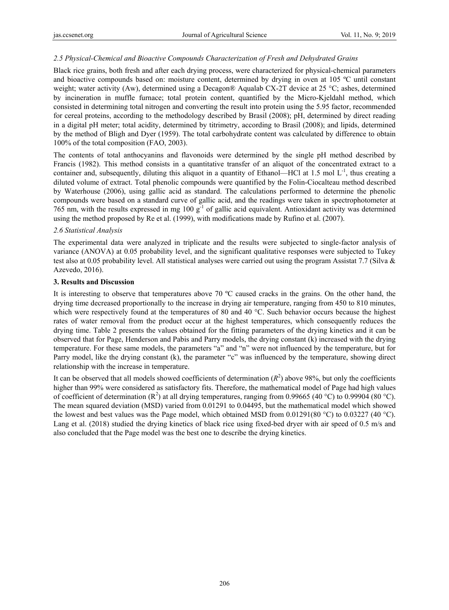# *2.5 Physical-Chemical and Bioactive Compounds Characterization of Fresh and Dehydrated Grains*

Black rice grains, both fresh and after each drying process, were characterized for physical-chemical parameters and bioactive compounds based on: moisture content, determined by drying in oven at 105 ºC until constant weight; water activity (Aw), determined using a Decagon® Aqualab CX-2T device at 25 °C; ashes, determined by incineration in muffle furnace; total protein content, quantified by the Micro-Kjeldahl method, which consisted in determining total nitrogen and converting the result into protein using the 5.95 factor, recommended for cereal proteins, according to the methodology described by Brasil (2008); pH, determined by direct reading in a digital pH meter; total acidity, determined by titrimetry, according to Brasil (2008); and lipids, determined by the method of Bligh and Dyer (1959). The total carbohydrate content was calculated by difference to obtain 100% of the total composition (FAO, 2003).

The contents of total anthocyanins and flavonoids were determined by the single pH method described by Francis (1982). This method consists in a quantitative transfer of an aliquot of the concentrated extract to a container and, subsequently, diluting this aliquot in a quantity of Ethanol—HCl at 1.5 mol  $L^{-1}$ , thus creating a diluted volume of extract. Total phenolic compounds were quantified by the Folin-Ciocalteau method described by Waterhouse (2006), using gallic acid as standard. The calculations performed to determine the phenolic compounds were based on a standard curve of gallic acid, and the readings were taken in spectrophotometer at 765 nm, with the results expressed in mg 100 g-1 of gallic acid equivalent. Antioxidant activity was determined using the method proposed by Re et al. (1999), with modifications made by Rufino et al. (2007).

## *2.6 Statistical Analysis*

The experimental data were analyzed in triplicate and the results were subjected to single-factor analysis of variance (ANOVA) at 0.05 probability level, and the significant qualitative responses were subjected to Tukey test also at 0.05 probability level. All statistical analyses were carried out using the program Assistat 7.7 (Silva & Azevedo, 2016).

## **3. Results and Discussion**

It is interesting to observe that temperatures above 70 ºC caused cracks in the grains. On the other hand, the drying time decreased proportionally to the increase in drying air temperature, ranging from 450 to 810 minutes, which were respectively found at the temperatures of 80 and 40 °C. Such behavior occurs because the highest rates of water removal from the product occur at the highest temperatures, which consequently reduces the drying time. Table 2 presents the values obtained for the fitting parameters of the drying kinetics and it can be observed that for Page, Henderson and Pabis and Parry models, the drying constant (k) increased with the drying temperature. For these same models, the parameters "a" and "n" were not influenced by the temperature, but for Parry model, like the drying constant (k), the parameter "c" was influenced by the temperature, showing direct relationship with the increase in temperature.

It can be observed that all models showed coefficients of determination  $(R^2)$  above 98%, but only the coefficients higher than 99% were considered as satisfactory fits. Therefore, the mathematical model of Page had high values of coefficient of determination ( $\mathbb{R}^2$ ) at all drying temperatures, ranging from 0.99665 (40 °C) to 0.99904 (80 °C). The mean squared deviation (MSD) varied from 0.01291 to 0.04495, but the mathematical model which showed the lowest and best values was the Page model, which obtained MSD from 0.01291(80 °C) to 0.03227 (40 °C). Lang et al. (2018) studied the drying kinetics of black rice using fixed-bed dryer with air speed of 0.5 m/s and also concluded that the Page model was the best one to describe the drying kinetics.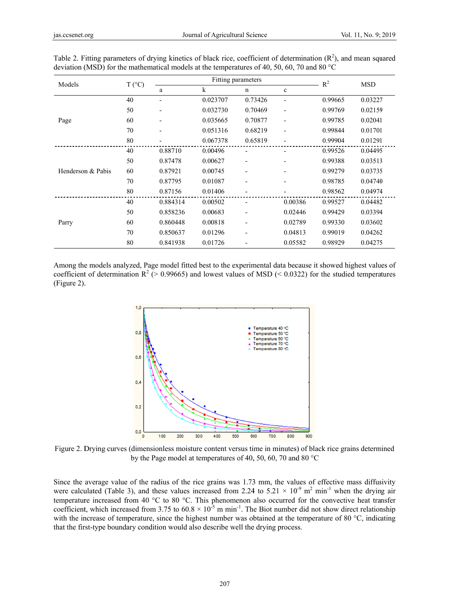| Models            | $T (^{\circ}C)$ | Fitting parameters |             |                          | $R^2$                        | <b>MSD</b> |         |
|-------------------|-----------------|--------------------|-------------|--------------------------|------------------------------|------------|---------|
|                   |                 | a                  | $\mathbf k$ | $\mathbf n$              | $\mathbf c$                  |            |         |
| Page              | 40              |                    | 0.023707    | 0.73426                  | $\qquad \qquad \blacksquare$ | 0.99665    | 0.03227 |
|                   | 50              | ٠                  | 0.032730    | 0.70469                  | $\qquad \qquad \blacksquare$ | 0.99769    | 0.02159 |
|                   | 60              |                    | 0.035665    | 0.70877                  | $\qquad \qquad \blacksquare$ | 0.99785    | 0.02041 |
|                   | 70              | ٠                  | 0.051316    | 0.68219                  | $\overline{\phantom{a}}$     | 0.99844    | 0.01701 |
|                   | 80              |                    | 0.067378    | 0.65819                  | -                            | 0.99904    | 0.01291 |
| Henderson & Pabis | 40              | 0.88710            | 0.00496     |                          | -                            | 0.99526    | 0.04495 |
|                   | 50              | 0.87478            | 0.00627     | $\overline{a}$           | -                            | 0.99388    | 0.03513 |
|                   | 60              | 0.87921            | 0.00745     |                          |                              | 0.99279    | 0.03735 |
|                   | 70              | 0.87795            | 0.01087     |                          | -                            | 0.98785    | 0.04740 |
|                   | 80              | 0.87156            | 0.01406     |                          |                              | 0.98562    | 0.04974 |
| Parry             | 40              | 0.884314           | 0.00502     |                          | 0.00386                      | 0.99527    | 0.04482 |
|                   | 50              | 0.858236           | 0.00683     | $\overline{\phantom{0}}$ | 0.02446                      | 0.99429    | 0.03394 |
|                   | 60              | 0.860448           | 0.00818     |                          | 0.02789                      | 0.99330    | 0.03602 |
|                   | 70              | 0.850637           | 0.01296     |                          | 0.04813                      | 0.99019    | 0.04262 |
|                   | 80              | 0.841938           | 0.01726     |                          | 0.05582                      | 0.98929    | 0.04275 |

Table 2. Fitting parameters of drying kinetics of black rice, coefficient of determination  $(R^2)$ , and mean squared deviation (MSD) for the mathematical models at the temperatures of 40, 50, 60, 70 and 80  $^{\circ}$ C

Among the models analyzed, Page model fitted best to the experimental data because it showed highest values of coefficient of determination  $R^2$  (> 0.99665) and lowest values of MSD (< 0.0322) for the studied temperatures (Figure 2).



Figure 2. Drying curves (dimensionless moisture content versus time in minutes) of black rice grains determined by the Page model at temperatures of 40, 50, 60, 70 and 80  $^{\circ}$ C

Since the average value of the radius of the rice grains was 1.73 mm, the values of effective mass diffusivity were calculated (Table 3), and these values increased from 2.24 to  $5.21 \times 10^{-9}$  m<sup>2</sup> min<sup>-1</sup> when the drying air temperature increased from 40 °C to 80 °C. This phenomenon also occurred for the convective heat transfer coefficient, which increased from 3.75 to  $60.8 \times 10^{-5}$  m min<sup>-1</sup>. The Biot number did not show direct relationship with the increase of temperature, since the highest number was obtained at the temperature of 80  $^{\circ}$ C, indicating that the first-type boundary condition would also describe well the drying process.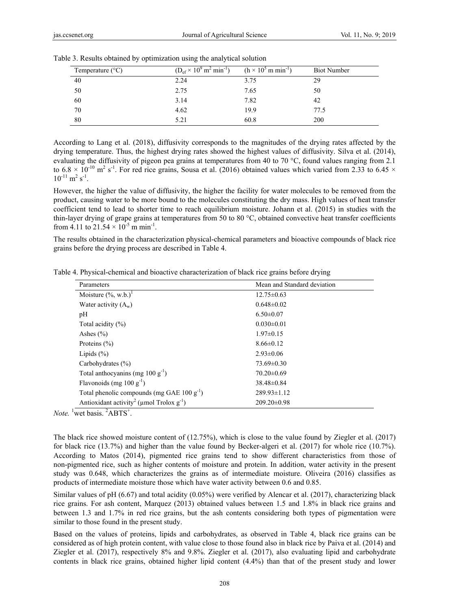| Temperature $(^{\circ}C)$ | $(D_{\rm ef} \times 10^9 \,\rm m^2 \,min^{-1})$ | $(h \times 10^5 \text{ m min}^{-1})$ | <b>Biot Number</b> |
|---------------------------|-------------------------------------------------|--------------------------------------|--------------------|
| 40                        | 2.24                                            | 3.75                                 | 29                 |
| 50                        | 2.75                                            | 7.65                                 | 50                 |
| 60                        | 3.14                                            | 7.82                                 | 42                 |
| 70                        | 4.62                                            | 19.9                                 | 77.5               |
| 80                        | 5.21                                            | 60.8                                 | 200                |

Table 3. Results obtained by optimization using the analytical solution

According to Lang et al. (2018), diffusivity corresponds to the magnitudes of the drying rates affected by the drying temperature. Thus, the highest drying rates showed the highest values of diffusivity. Silva et al. (2014), evaluating the diffusivity of pigeon pea grains at temperatures from 40 to 70 °C, found values ranging from 2.1 to  $6.8 \times 10^{-10}$  m<sup>2</sup> s<sup>-1</sup>. For red rice grains, Sousa et al. (2016) obtained values which varied from 2.33 to  $6.45 \times$  $10^{-11}$  m<sup>2</sup> s<sup>-1</sup>.

However, the higher the value of diffusivity, the higher the facility for water molecules to be removed from the product, causing water to be more bound to the molecules constituting the dry mass. High values of heat transfer coefficient tend to lead to shorter time to reach equilibrium moisture. Johann et al. (2015) in studies with the thin-layer drying of grape grains at temperatures from 50 to 80 °C, obtained convective heat transfer coefficients from 4.11 to  $21.54 \times 10^{-5}$  m min<sup>-1</sup>.

The results obtained in the characterization physical-chemical parameters and bioactive compounds of black rice grains before the drying process are described in Table 4.

Table 4. Physical-chemical and bioactive characterization of black rice grains before drying

| Parameters                                                          | Mean and Standard deviation |
|---------------------------------------------------------------------|-----------------------------|
| Moisture $(\%$ , w.b.) <sup>1</sup>                                 | $12.75 \pm 0.63$            |
| Water activity $(A_w)$                                              | $0.648 \pm 0.02$            |
| pH                                                                  | $6.50 \pm 0.07$             |
| Total acidity $(\% )$                                               | $0.030 \pm 0.01$            |
| Ashes $(\% )$                                                       | $1.97\pm0.15$               |
| Proteins $(\% )$                                                    | $8.66 \pm 0.12$             |
| Lipids $(\%)$                                                       | $2.93 \pm 0.06$             |
| Carbohydrates $(\% )$                                               | $73.69 \pm 0.30$            |
| Total anthocyanins (mg $100 g^{-1}$ )                               | $70.20 \pm 0.69$            |
| Flavonoids (mg 100 $g^{-1}$ )                                       | $38.48 \pm 0.84$            |
| Total phenolic compounds (mg GAE $100 \text{ g}^{-1}$ )             | $289.93 \pm 1.12$           |
| Antioxidant activity <sup>2</sup> (µmol Trolox $g^{-1}$ )<br>$\sim$ | $209.20 \pm 0.98$           |

*Note.* <sup>1</sup> wet basis. <sup>2</sup>ABTS<sup>+</sup>.

The black rice showed moisture content of (12.75%), which is close to the value found by Ziegler et al. (2017) for black rice (13.7%) and higher than the value found by Becker-algeri et al. (2017) for whole rice (10.7%). According to Matos (2014), pigmented rice grains tend to show different characteristics from those of non-pigmented rice, such as higher contents of moisture and protein. In addition, water activity in the present study was 0.648, which characterizes the grains as of intermediate moisture. Oliveira (2016) classifies as products of intermediate moisture those which have water activity between 0.6 and 0.85.

Similar values of pH (6.67) and total acidity (0.05%) were verified by Alencar et al. (2017), characterizing black rice grains. For ash content, Marquez (2013) obtained values between 1.5 and 1.8% in black rice grains and between 1.3 and 1.7% in red rice grains, but the ash contents considering both types of pigmentation were similar to those found in the present study.

Based on the values of proteins, lipids and carbohydrates, as observed in Table 4, black rice grains can be considered as of high protein content, with value close to those found also in black rice by Paiva et al. (2014) and Ziegler et al. (2017), respectively 8% and 9.8%. Ziegler et al. (2017), also evaluating lipid and carbohydrate contents in black rice grains, obtained higher lipid content (4.4%) than that of the present study and lower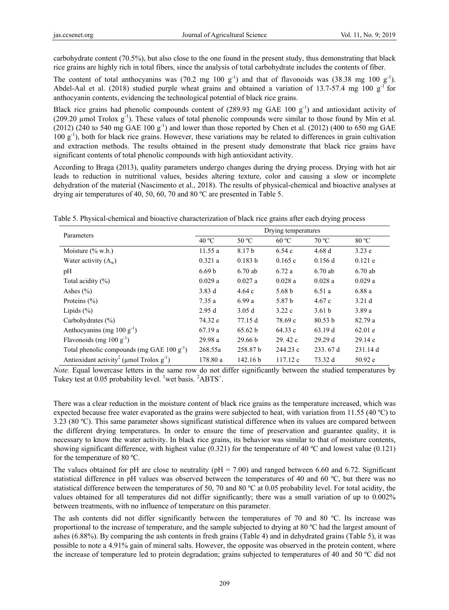carbohydrate content (70.5%), but also close to the one found in the present study, thus demonstrating that black rice grains are highly rich in total fibers, since the analysis of total carbohydrate includes the contents of fiber.

The content of total anthocyanins was  $(70.2 \text{ mg } 100 \text{ g}^{-1})$  and that of flavonoids was  $(38.38 \text{ mg } 100 \text{ g}^{-1})$ . Abdel-Aal et al. (2018) studied purple wheat grains and obtained a variation of 13.7-57.4 mg 100  $g^{-1}$  for anthocyanin contents, evidencing the technological potential of black rice grains.

Black rice grains had phenolic compounds content of  $(289.93 \text{ mg } GAE 100 \text{ g}^{-1})$  and antioxidant activity of (209.20  $\mu$ mol Trolox  $g^{-1}$ ). These values of total phenolic compounds were similar to those found by Min et al. (2012) (240 to 540 mg GAE 100 g<sup>-1</sup>) and lower than those reported by Chen et al. (2012) (400 to 650 mg GAE  $100 \text{ g}^{-1}$ ), both for black rice grains. However, these variations may be related to differences in grain cultivation and extraction methods. The results obtained in the present study demonstrate that black rice grains have significant contents of total phenolic compounds with high antioxidant activity.

According to Braga (2013), quality parameters undergo changes during the drying process. Drying with hot air leads to reduction in nutritional values, besides altering texture, color and causing a slow or incomplete dehydration of the material (Nascimento et al., 2018). The results of physical-chemical and bioactive analyses at drying air temperatures of 40, 50, 60, 70 and 80 ºC are presented in Table 5.

Table 5. Physical-chemical and bioactive characterization of black rice grains after each drying process

| Parameters                                                | Drying temperatures |                    |                   |                   |                   |  |
|-----------------------------------------------------------|---------------------|--------------------|-------------------|-------------------|-------------------|--|
|                                                           | 40 °C               | 50 °C              | 60 °C             | 70 °C             | 80 °C             |  |
| Moisture $(\%$ w.b.)                                      | 11.55a              | 8.17 b             | 6.54c             | 4.68d             | 3.23 e            |  |
| Water activity $(A_w)$                                    | 0.321a              | 0.183 b            | 0.165c            | $0.156$ d         | $0.121$ e         |  |
| pH                                                        | 6.69 <sub>b</sub>   | $6.70$ ab          | 6.72a             | $6.70$ ab         | $6.70$ ab         |  |
| Total acidity $(\% )$                                     | 0.029a              | 0.027a             | 0.028a            | 0.028a            | 0.029a            |  |
| Ashes $(\% )$                                             | 3.83d               | 4.64c              | 5.68 <sub>b</sub> | 6.51a             | 6.88 a            |  |
| Proteins $(\% )$                                          | 7.35a               | 6.99a              | 5.87 b            | 4.67c             | 3.21 <sub>d</sub> |  |
| Lipids $(\% )$                                            | 2.95d               | 3.05d              | 3.22c             | 3.61 <sub>b</sub> | 3.89a             |  |
| Carbohydrates $(\% )$                                     | 74.32 e             | 77.15 d            | 78.69 c           | 80.53 b           | 82.79 a           |  |
| Anthocyanins (mg $100 g^{-1}$ )                           | 67.19a              | 65.62 b            | 64.33 c           | 63.19d            | 62.01 e           |  |
| Flavonoids (mg $100 \text{ g}^{-1}$ )                     | 29.98a              | 29.66 <sub>b</sub> | 29.42c            | 29.29d            | 29.14 e           |  |
| Total phenolic compounds (mg GAE $100 \text{ g}^{-1}$ )   | 268.55a             | 258.87 b           | 244.23 c          | 233.67 d          | 231.14d           |  |
| Antioxidant activity <sup>2</sup> (µmol Trolox $g^{-1}$ ) | 178.80 a            | 142.16 b           | 117.12c           | 73.32 d           | 50.92 e           |  |

*Note.* Equal lowercase letters in the same row do not differ significantly between the studied temperatures by Tukey test at 0.05 probability level. <sup>1</sup> wet basis.  $^{2}$ ABTS<sup>+</sup>.

There was a clear reduction in the moisture content of black rice grains as the temperature increased, which was expected because free water evaporated as the grains were subjected to heat, with variation from 11.55 (40 ºC) to 3.23 (80 ºC). This same parameter shows significant statistical difference when its values are compared between the different drying temperatures. In order to ensure the time of preservation and guarantee quality, it is necessary to know the water activity. In black rice grains, its behavior was similar to that of moisture contents, showing significant difference, with highest value (0.321) for the temperature of 40 ºC and lowest value (0.121) for the temperature of 80 ºC.

The values obtained for pH are close to neutrality ( $pH = 7.00$ ) and ranged between 6.60 and 6.72. Significant statistical difference in pH values was observed between the temperatures of 40 and 60 ºC, but there was no statistical difference between the temperatures of 50, 70 and 80 ºC at 0.05 probability level. For total acidity, the values obtained for all temperatures did not differ significantly; there was a small variation of up to 0.002% between treatments, with no influence of temperature on this parameter.

The ash contents did not differ significantly between the temperatures of 70 and 80 ºC. Its increase was proportional to the increase of temperature, and the sample subjected to drying at 80 ºC had the largest amount of ashes (6.88%). By comparing the ash contents in fresh grains (Table 4) and in dehydrated grains (Table 5), it was possible to note a 4.91% gain of mineral salts. However, the opposite was observed in the protein content, where the increase of temperature led to protein degradation; grains subjected to temperatures of 40 and 50 ºC did not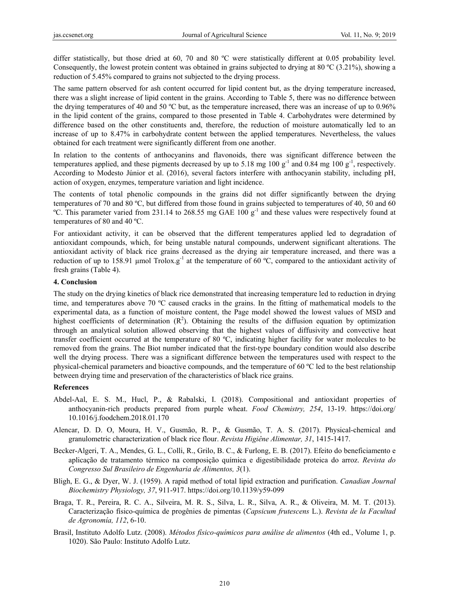differ statistically, but those dried at 60, 70 and 80 °C were statistically different at 0.05 probability level. Consequently, the lowest protein content was obtained in grains subjected to drying at 80 ºC (3.21%), showing a reduction of 5.45% compared to grains not subjected to the drying process.

The same pattern observed for ash content occurred for lipid content but, as the drying temperature increased, there was a slight increase of lipid content in the grains. According to Table 5, there was no difference between the drying temperatures of 40 and 50 ºC but, as the temperature increased, there was an increase of up to 0.96% in the lipid content of the grains, compared to those presented in Table 4. Carbohydrates were determined by difference based on the other constituents and, therefore, the reduction of moisture automatically led to an increase of up to 8.47% in carbohydrate content between the applied temperatures. Nevertheless, the values obtained for each treatment were significantly different from one another.

In relation to the contents of anthocyanins and flavonoids, there was significant difference between the temperatures applied, and these pigments decreased by up to 5.18 mg 100  $g^{-1}$  and 0.84 mg 100  $g^{-1}$ , respectively. According to Modesto Júnior et al. (2016), several factors interfere with anthocyanin stability, including pH, action of oxygen, enzymes, temperature variation and light incidence.

The contents of total phenolic compounds in the grains did not differ significantly between the drying temperatures of 70 and 80 ºC, but differed from those found in grains subjected to temperatures of 40, 50 and 60  $°C$ . This parameter varied from 231.14 to 268.55 mg GAE 100  $g^{-1}$  and these values were respectively found at temperatures of 80 and 40 ºC.

For antioxidant activity, it can be observed that the different temperatures applied led to degradation of antioxidant compounds, which, for being unstable natural compounds, underwent significant alterations. The antioxidant activity of black rice grains decreased as the drying air temperature increased, and there was a reduction of up to 158.91 µmol Trolox.g-1 at the temperature of 60 ºC, compared to the antioxidant activity of fresh grains (Table 4).

# **4. Conclusion**

The study on the drying kinetics of black rice demonstrated that increasing temperature led to reduction in drying time, and temperatures above 70 ºC caused cracks in the grains. In the fitting of mathematical models to the experimental data, as a function of moisture content, the Page model showed the lowest values of MSD and highest coefficients of determination  $(R^2)$ . Obtaining the results of the diffusion equation by optimization through an analytical solution allowed observing that the highest values of diffusivity and convective heat transfer coefficient occurred at the temperature of 80 ºC, indicating higher facility for water molecules to be removed from the grains. The Biot number indicated that the first-type boundary condition would also describe well the drying process. There was a significant difference between the temperatures used with respect to the physical-chemical parameters and bioactive compounds, and the temperature of 60 ºC led to the best relationship between drying time and preservation of the characteristics of black rice grains.

# **References**

- Abdel-Aal, E. S. M., Hucl, P., & Rabalski, I. (2018). Compositional and antioxidant properties of anthocyanin-rich products prepared from purple wheat. *Food Chemistry, 254*, 13-19. https://doi.org/ 10.1016/j.foodchem.2018.01.170
- Alencar, D. D. O, Moura, H. V., Gusmão, R. P., & Gusmão, T. A. S. (2017). Physical-chemical and granulometric characterization of black rice flour. *Revista Higiêne Alimentar, 31*, 1415-1417.
- Becker-Algeri, T. A., Mendes, G. L., Colli, R., Grilo, B. C., & Furlong, E. B. (2017). Efeito do beneficiamento e aplicação de tratamento térmico na composição química e digestibilidade proteica do arroz. *Revista do Congresso Sul Brasileiro de Engenharia de Alimentos, 3*(1).
- Bligh, E. G., & Dyer, W. J. (1959). A rapid method of total lipid extraction and purification. *Canadian Journal Biochemistry Physiology, 37*, 911-917. https://doi.org/10.1139/y59-099
- Braga, T. R., Pereira, R. C. A., Silveira, M. R. S., Silva, L. R., Silva, A. R., & Oliveira, M. M. T. (2013). Caracterização físico-química de progênies de pimentas (*Capsicum frutescens* L.). *Revista de la Facultad de Agronomía, 112*, 6-10.
- Brasil, Instituto Adolfo Lutz. (2008). *Métodos físico-químicos para análise de alimentos* (4th ed., Volume 1, p. 1020). São Paulo: Instituto Adolfo Lutz.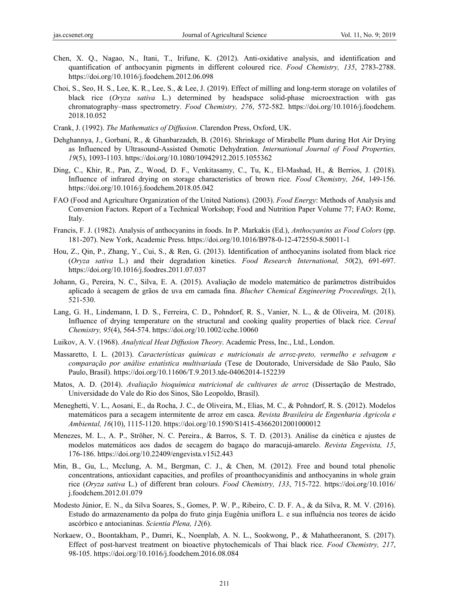- Chen, X. Q., Nagao, N., Itani, T., Irifune, K. (2012). Anti-oxidative analysis, and identification and quantification of anthocyanin pigments in different coloured rice. *Food Chemistry, 135*, 2783-2788. https://doi.org/10.1016/j.foodchem.2012.06.098
- Choi, S., Seo, H. S., Lee, K. R., Lee, S., & Lee, J. (2019). Effect of milling and long-term storage on volatiles of black rice (*Oryza sativa* L.) determined by headspace solid-phase microextraction with gas chromatography–mass spectrometry. *Food Chemistry, 276*, 572-582. https://doi.org/10.1016/j.foodchem. 2018.10.052
- Crank, J. (1992). *The Mathematics of Diffusion*. Clarendon Press, Oxford, UK.
- Dehghannya, J., Gorbani, R., & Ghanbarzadeh, B. (2016). Shrinkage of Mirabelle Plum during Hot Air Drying as Influenced by Ultrasound-Assisted Osmotic Dehydration. *International Journal of Food Properties, 19*(5), 1093-1103. https://doi.org/10.1080/10942912.2015.1055362
- Ding, C., Khir, R., Pan, Z., Wood, D. F., Venkitasamy, C., Tu, K., El-Mashad, H., & Berrios, J. (2018). Influence of infrared drying on storage characteristics of brown rice. *Food Chemistry, 264*, 149-156. https://doi.org/10.1016/j.foodchem.2018.05.042
- FAO (Food and Agriculture Organization of the United Nations). (2003). *Food Energy*: Methods of Analysis and Conversion Factors. Report of a Technical Workshop; Food and Nutrition Paper Volume 77; FAO: Rome, Italy.
- Francis, F. J. (1982). Analysis of anthocyanins in foods. In P. Markakis (Ed.), *Anthocyanins as Food Colors* (pp. 181-207). New York, Academic Press. https://doi.org/10.1016/B978-0-12-472550-8.50011-1
- Hou, Z., Qin, P., Zhang, Y., Cui, S., & Ren, G. (2013). Identification of anthocyanins isolated from black rice (*Oryza sativa* L.) and their degradation kinetics. *Food Research International, 50*(2), 691-697. https://doi.org/10.1016/j.foodres.2011.07.037
- Johann, G., Pereira, N. C., Silva, E. A. (2015). Avaliação de modelo matemático de parâmetros distribuídos aplicado à secagem de grãos de uva em camada fina. *Blucher Chemical Engineering Proceedings,* 2(1), 521-530.
- Lang, G. H., Lindemann, I. D. S., Ferreira, C. D., Pohndorf, R. S., Vanier, N. L., & de Oliveira, M. (2018). Influence of drying temperature on the structural and cooking quality properties of black rice. *Cereal Chemistry, 95*(4), 564-574. https://doi.org/10.1002/cche.10060
- Luikov, A. V. (1968). *Analytical Heat Diffusion Theory*. Academic Press, Inc., Ltd., London.
- Massaretto, I. L. (2013). *Características químicas e nutricionais de arroz-preto, vermelho e selvagem e comparação por análise estatística multivariada* (Tese de Doutorado, Universidade de São Paulo, São Paulo, Brasil). https://doi.org/10.11606/T.9.2013.tde-04062014-152239
- Matos, A. D. (2014). *Avaliação bioquímica nutricional de cultivares de arroz* (Dissertação de Mestrado, Universidade do Vale do Rio dos Sinos, São Leopoldo, Brasil).
- Meneghetti, V. L., Aosani, E., da Rocha, J. C., de Oliveira, M., Elias, M. C., & Pohndorf, R. S. (2012). Modelos matemáticos para a secagem intermitente de arroz em casca. *Revista Brasileira de Engenharia Agricola e Ambiental, 16*(10), 1115-1120. https://doi.org/10.1590/S1415-43662012001000012
- Menezes, M. L., A. P., Ströher, N. C. Pereira., & Barros, S. T. D. (2013). Análise da cinética e ajustes de modelos matemáticos aos dados de secagem do bagaço do maracujá-amarelo. *Revista Engevista, 15*, 176-186. https://doi.org/10.22409/engevista.v15i2.443
- Min, B., Gu, L., Mcclung, A. M., Bergman, C. J., & Chen, M. (2012). Free and bound total phenolic concentrations, antioxidant capacities, and profiles of proanthocyanidinis and anthocyanins in whole grain rice (*Oryza sativa* L.) of different bran colours. *Food Chemistry, 133*, 715-722. https://doi.org/10.1016/ j.foodchem.2012.01.079
- Modesto Júnior, E. N., da Silva Soares, S., Gomes, P. W. P., Ribeiro, C. D. F. A., & da Silva, R. M. V. (2016). Estudo do armazenamento da polpa do fruto ginja Eugênia uniflora L. e sua influência nos teores de ácido ascórbico e antocianinas. *Scientia Plena, 12*(6).
- Norkaew, O., Boontakham, P., Dumri, K., Noenplab, A. N. L., Sookwong, P., & Mahatheeranont, S. (2017). Effect of post-harvest treatment on bioactive phytochemicals of Thai black rice. *Food Chemistry, 217*, 98-105. https://doi.org/10.1016/j.foodchem.2016.08.084